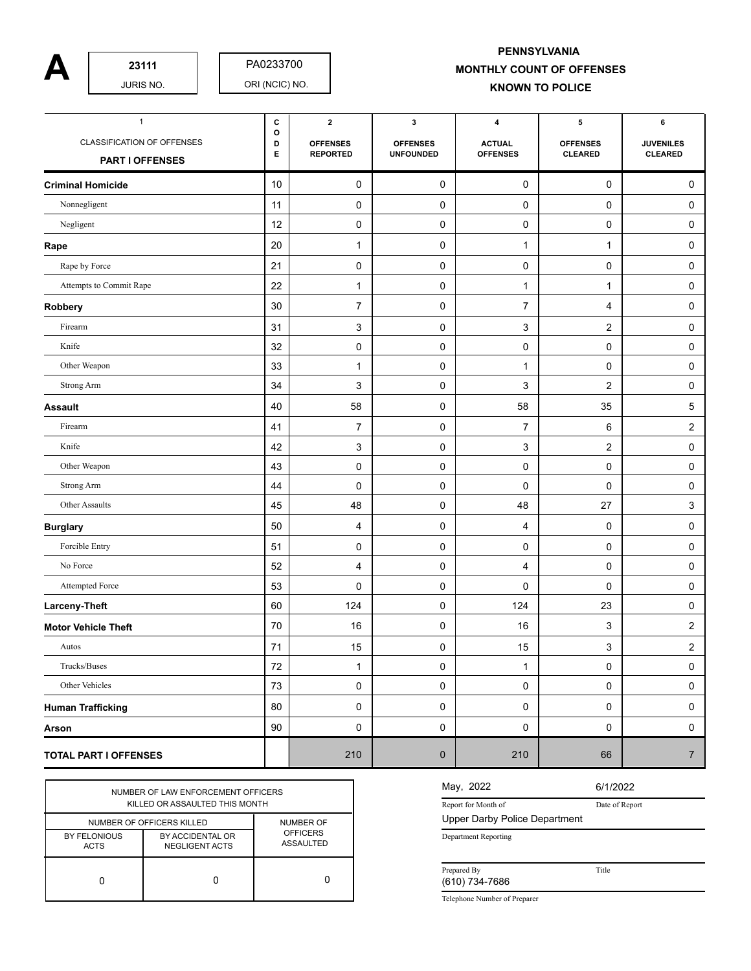PA0233700

## **A**  $\begin{array}{|c|c|c|c|c|}\n\hline\n\text{23111} & \text{PAO233700} \\
\text{JURIS NO.} & \text{ORI (NClC) NO.} & \text{MONTHLY COUNT OF OFFENSES}\n\hline\n\end{array}$ **PENNSYLVANIA KNOWN TO POLICE**

| $\mathbf{1}$                                  | c           | $\mathbf{2}$                       | $\mathbf 3$                         | 4                                | 5                                 | 6                                  |
|-----------------------------------------------|-------------|------------------------------------|-------------------------------------|----------------------------------|-----------------------------------|------------------------------------|
| CLASSIFICATION OF OFFENSES<br>PART I OFFENSES | o<br>D<br>Е | <b>OFFENSES</b><br><b>REPORTED</b> | <b>OFFENSES</b><br><b>UNFOUNDED</b> | <b>ACTUAL</b><br><b>OFFENSES</b> | <b>OFFENSES</b><br><b>CLEARED</b> | <b>JUVENILES</b><br><b>CLEARED</b> |
| <b>Criminal Homicide</b>                      | 10          | 0                                  | 0                                   | 0                                | 0                                 | 0                                  |
| Nonnegligent                                  | 11          | 0                                  | 0                                   | 0                                | 0                                 | 0                                  |
| Negligent                                     | 12          | 0                                  | 0                                   | 0                                | 0                                 | 0                                  |
| Rape                                          | 20          | 1                                  | 0                                   | $\mathbf{1}$                     | 1                                 | 0                                  |
| Rape by Force                                 | 21          | 0                                  | 0                                   | 0                                | 0                                 | 0                                  |
| Attempts to Commit Rape                       | 22          | 1                                  | 0                                   | 1                                | 1                                 | 0                                  |
| Robbery                                       | 30          | 7                                  | 0                                   | $\overline{7}$                   | 4                                 | 0                                  |
| Firearm                                       | 31          | 3                                  | 0                                   | 3                                | $\overline{2}$                    | 0                                  |
| Knife                                         | 32          | 0                                  | 0                                   | 0                                | 0                                 | 0                                  |
| Other Weapon                                  | 33          | 1                                  | 0                                   | 1                                | 0                                 | 0                                  |
| <b>Strong Arm</b>                             | 34          | 3                                  | 0                                   | 3                                | $\overline{\mathbf{c}}$           | 0                                  |
| <b>Assault</b>                                | 40          | 58                                 | 0                                   | 58                               | 35                                | 5                                  |
| Firearm                                       | 41          | $\overline{7}$                     | 0                                   | $\overline{7}$                   | 6                                 | 2                                  |
| Knife                                         | 42          | 3                                  | 0                                   | 3                                | 2                                 | 0                                  |
| Other Weapon                                  | 43          | 0                                  | 0                                   | $\pmb{0}$                        | 0                                 | 0                                  |
| Strong Arm                                    | 44          | 0                                  | 0                                   | 0                                | 0                                 | 0                                  |
| Other Assaults                                | 45          | 48                                 | 0                                   | 48                               | 27                                | 3                                  |
| <b>Burglary</b>                               | 50          | 4                                  | 0                                   | 4                                | 0                                 | 0                                  |
| Forcible Entry                                | 51          | 0                                  | 0                                   | 0                                | 0                                 | 0                                  |
| No Force                                      | 52          | 4                                  | 0                                   | 4                                | 0                                 | 0                                  |
| Attempted Force                               | 53          | 0                                  | 0                                   | 0                                | 0                                 | 0                                  |
| Larceny-Theft                                 | 60          | 124                                | 0                                   | 124                              | 23                                | 0                                  |
| <b>Motor Vehicle Theft</b>                    | 70          | 16                                 | 0                                   | 16                               | 3                                 | $\overline{c}$                     |
| Autos                                         | 71          | 15                                 | 0                                   | 15                               | 3                                 | $\overline{c}$                     |
| Trucks/Buses                                  | 72          | $\mathbf{1}$                       | $\mathbf 0$                         | $\mathbf{1}$                     | 0                                 | $\pmb{0}$                          |
| Other Vehicles                                | 73          | 0                                  | 0                                   | $\mathbf 0$                      | $\pmb{0}$                         | $\pmb{0}$                          |
| <b>Human Trafficking</b>                      | 80          | 0                                  | $\pmb{0}$                           | 0                                | $\pmb{0}$                         | 0                                  |
| Arson                                         | 90          | 0                                  | 0                                   | $\mathbf 0$                      | 0                                 | $\mathbf 0$                        |
| <b>TOTAL PART I OFFENSES</b>                  |             | 210                                | $\mathbf 0$                         | 210                              | 66                                | $\boldsymbol{7}$                   |

| NUMBER OF LAW ENFORCEMENT OFFICERS<br>KILLED OR ASSAULTED THIS MONTH |                                                                 |                                                         |  |  |  |  |  |
|----------------------------------------------------------------------|-----------------------------------------------------------------|---------------------------------------------------------|--|--|--|--|--|
| BY FELONIOUS<br><b>ACTS</b>                                          | NUMBER OF OFFICERS KILLED<br>BY ACCIDENTAL OR<br>NEGLIGENT ACTS | <b>NUMBER OF</b><br><b>OFFICERS</b><br><b>ASSAULTED</b> |  |  |  |  |  |
|                                                                      |                                                                 |                                                         |  |  |  |  |  |

## May, 2022

Date of Report 6/1/2022

Title

Report for Month of Upper Darby Police Department

Department Reporting

Prepared By

(610) 734-7686

Telephone Number of Preparer